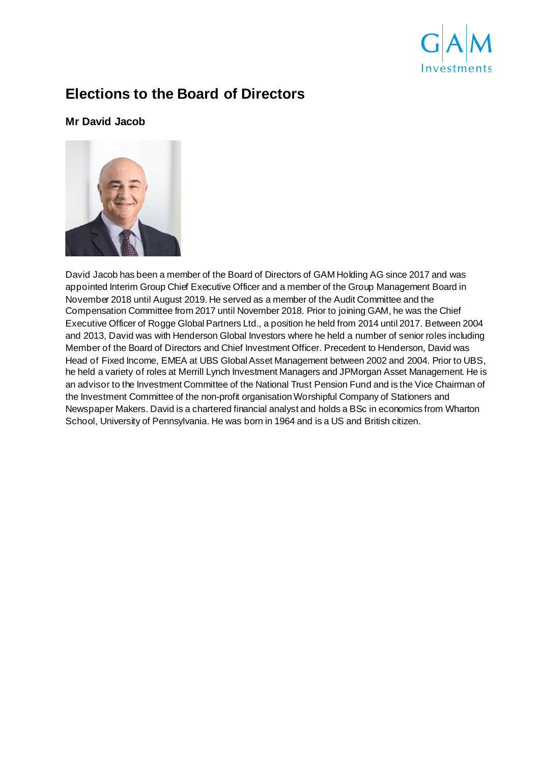

# **Elections to the Board of Directors**

## **Mr David Jacob**



David Jacob has been a member of the Board of Directors of GAM Holding AG since 2017 and was appointed Interim Group Chief Executive Officer and a member of the Group Management Board in November 2018 until August 2019. He served as a member of the Audit Committee and the Compensation Committee from 2017 until November 2018. Prior to joining GAM, he was the Chief Executive Officer of Rogge Global Partners Ltd., a position he held from 2014 until 2017. Between 2004 and 2013, David was with Henderson Global Investors where he held a number of senior roles including Member of the Board of Directors and Chief Investment Officer. Precedent to Henderson, David was Head of Fixed Income, EMEA at UBS Global Asset Management between 2002 and 2004. Prior to UBS, he held a variety of roles at Merrill Lynch Investment Managers and JPMorgan Asset Management. He is an advisor to the Investment Committee of the National Trust Pension Fund and is the Vice Chairman of the Investment Committee of the non-profit organisation Worshipful Company of Stationers and Newspaper Makers. David is a chartered financial analyst and holds a BSc in economics from Wharton School, University of Pennsylvania. He was born in 1964 and is a US and British citizen.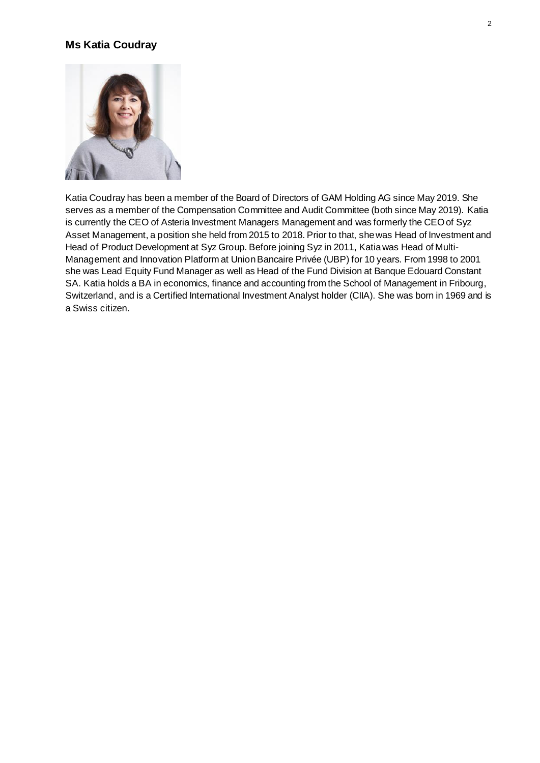## **Ms Katia Coudray**



Katia Coudray has been a member of the Board of Directors of GAM Holding AG since May 2019. She serves as a member of the Compensation Committee and Audit Committee (both since May 2019). Katia is currently the CEO of Asteria Investment Managers Management and was formerly the CEO of Syz Asset Management, a position she held from 2015 to 2018. Prior to that, she was Head of Investment and Head of Product Development at Syz Group. Before joining Syz in 2011, Katia was Head of Multi-Management and Innovation Platform at Union Bancaire Privée (UBP) for 10 years. From 1998 to 2001 she was Lead Equity Fund Manager as well as Head of the Fund Division at Banque Edouard Constant SA. Katia holds a BA in economics, finance and accounting from the School of Management in Fribourg, Switzerland, and is a Certified International Investment Analyst holder (CIIA). She was born in 1969 and is a Swiss citizen.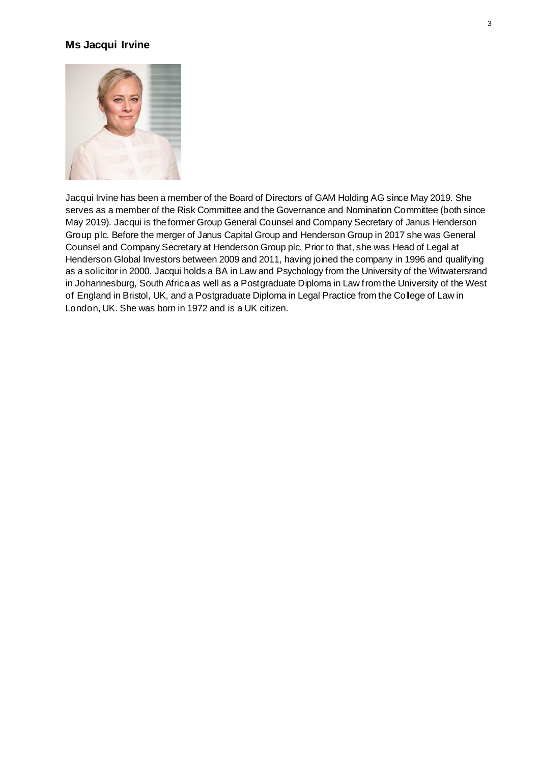#### **Ms Jacqui Irvine**



Jacqui Irvine has been a member of the Board of Directors of GAM Holding AG since May 2019. She serves as a member of the Risk Committee and the Governance and Nomination Committee (both since May 2019). Jacqui is the former Group General Counsel and Company Secretary of Janus Henderson Group plc. Before the merger of Janus Capital Group and Henderson Group in 2017 she was General Counsel and Company Secretary at Henderson Group plc. Prior to that, she was Head of Legal at Henderson Global Investors between 2009 and 2011, having joined the company in 1996 and qualifying as a solicitor in 2000. Jacqui holds a BA in Law and Psychology from the University of the Witwatersrand in Johannesburg, South Africa as well as a Postgraduate Diploma in Law from the University of the West of England in Bristol, UK, and a Postgraduate Diploma in Legal Practice from the College of Law in London, UK. She was born in 1972 and is a UK citizen.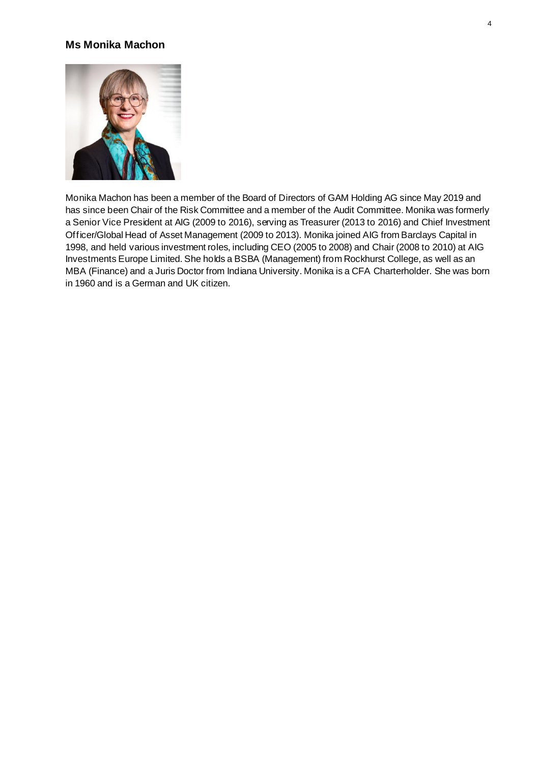#### **Ms Monika Machon**



Monika Machon has been a member of the Board of Directors of GAM Holding AG since May 2019 and has since been Chair of the Risk Committee and a member of the Audit Committee. Monika was formerly a Senior Vice President at AIG (2009 to 2016), serving as Treasurer (2013 to 2016) and Chief Investment Officer/Global Head of Asset Management (2009 to 2013). Monika joined AIG from Barclays Capital in 1998, and held various investment roles, including CEO (2005 to 2008) and Chair (2008 to 2010) at AIG Investments Europe Limited. She holds a BSBA (Management) from Rockhurst College, as well as an MBA (Finance) and a Juris Doctor from Indiana University. Monika is a CFA Charterholder. She was born in 1960 and is a German and UK citizen.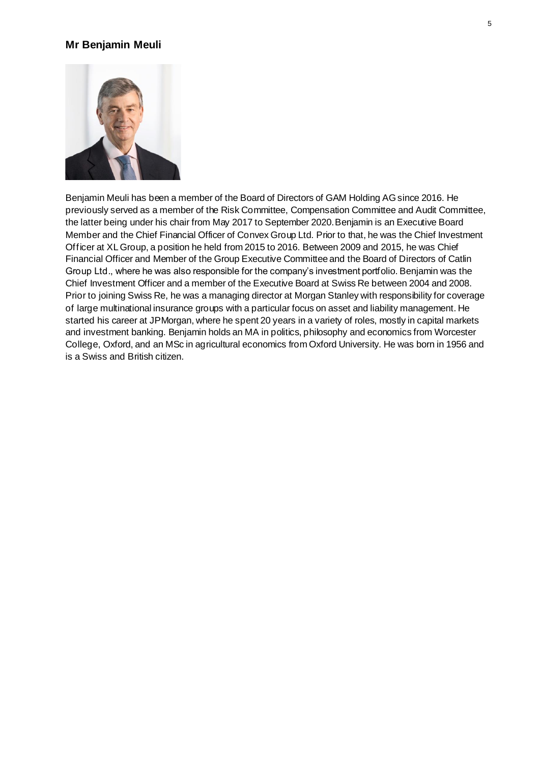#### **Mr Benjamin Meuli**



Benjamin Meuli has been a member of the Board of Directors of GAM Holding AG since 2016. He previously served as a member of the Risk Committee, Compensation Committee and Audit Committee, the latter being under his chair from May 2017 to September 2020.Benjamin is an Executive Board Member and the Chief Financial Officer of Convex Group Ltd. Prior to that, he was the Chief Investment Officer at XL Group, a position he held from 2015 to 2016. Between 2009 and 2015, he was Chief Financial Officer and Member of the Group Executive Committee and the Board of Directors of Catlin Group Ltd., where he was also responsible for the company's investment portfolio. Benjamin was the Chief Investment Officer and a member of the Executive Board at Swiss Re between 2004 and 2008. Prior to joining Swiss Re, he was a managing director at Morgan Stanley with responsibility for coverage of large multinational insurance groups with a particular focus on asset and liability management. He started his career at JPMorgan, where he spent 20 years in a variety of roles, mostly in capital markets and investment banking. Benjamin holds an MA in politics, philosophy and economics from Worcester College, Oxford, and an MSc in agricultural economics from Oxford University. He was born in 1956 and is a Swiss and British citizen.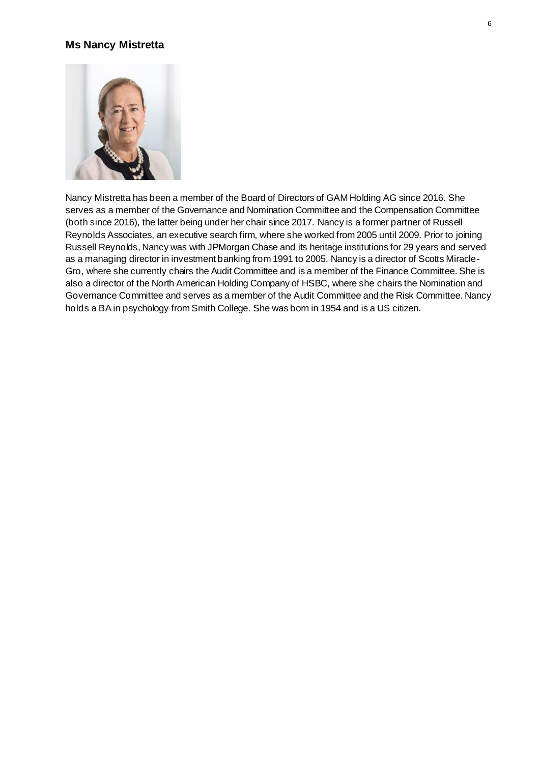#### **Ms Nancy Mistretta**



Nancy Mistretta has been a member of the Board of Directors of GAM Holding AG since 2016. She serves as a member of the Governance and Nomination Committee and the Compensation Committee (both since 2016), the latter being under her chair since 2017. Nancy is a former partner of Russell Reynolds Associates, an executive search firm, where she worked from 2005 until 2009. Prior to joining Russell Reynolds, Nancy was with JPMorgan Chase and its heritage institutions for 29 years and served as a managing director in investment banking from 1991 to 2005. Nancy is a director of Scotts Miracle-Gro, where she currently chairs the Audit Committee and is a member of the Finance Committee. She is also a director of the North American Holding Company of HSBC, where she chairs the Nomination and Governance Committee and serves as a member of the Audit Committee and the Risk Committee. Nancy holds a BA in psychology from Smith College. She was born in 1954 and is a US citizen.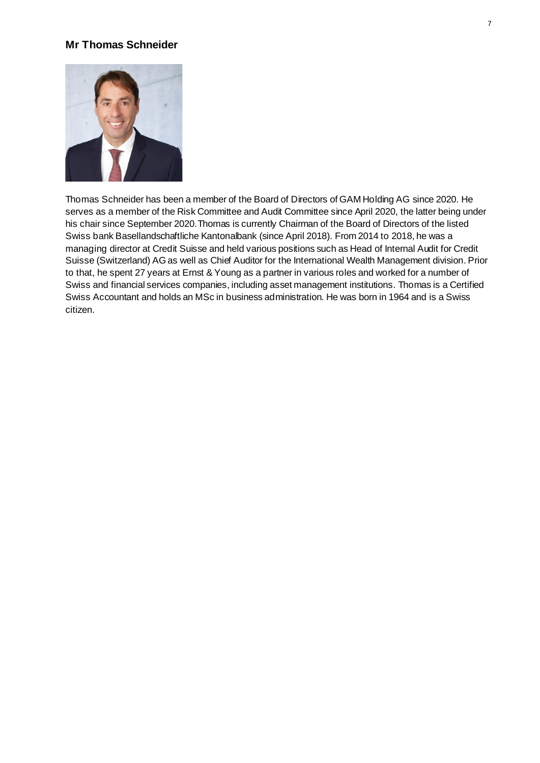## **Mr Thomas Schneider**



Thomas Schneider has been a member of the Board of Directors of GAM Holding AG since 2020. He serves as a member of the Risk Committee and Audit Committee since April 2020, the latter being under his chair since September 2020.Thomas is currently Chairman of the Board of Directors of the listed Swiss bank Basellandschaftliche Kantonalbank (since April 2018). From 2014 to 2018, he was a managing director at Credit Suisse and held various positions such as Head of Internal Audit for Credit Suisse (Switzerland) AG as well as Chief Auditor for the International Wealth Management division. Prior to that, he spent 27 years at Ernst & Young as a partner in various roles and worked for a number of Swiss and financial services companies, including asset management institutions. Thomas is a Certified Swiss Accountant and holds an MSc in business administration. He was born in 1964 and is a Swiss citizen.